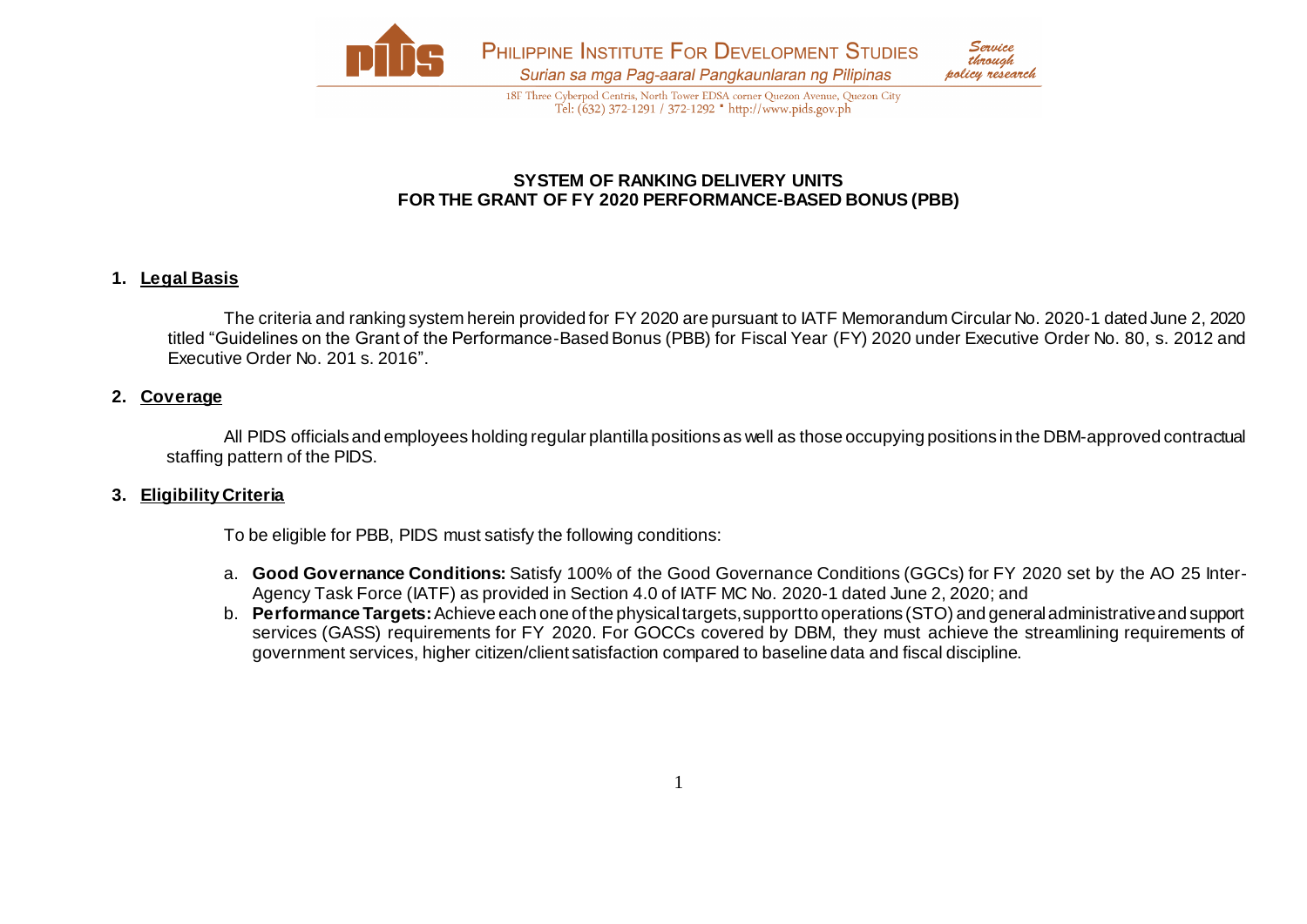

18F Three Cyberpod Centris, North Tower EDSA corner Quezon Avenue, Quezon City Tel: (632) 372-1291 / 372-1292 \* http://www.pids.gov.ph

## **SYSTEM OF RANKING DELIVERY UNITS FOR THE GRANT OF FY 2020 PERFORMANCE-BASED BONUS (PBB)**

## **1. Legal Basis**

The criteria and ranking system herein provided for FY 2020 are pursuant to IATF Memorandum Circular No. 2020-1 dated June 2, 2020 titled "Guidelines on the Grant of the Performance-Based Bonus (PBB) for Fiscal Year (FY) 2020 under Executive Order No. 80, s. 2012 and Executive Order No. 201 s. 2016".

#### **2. Coverage**

All PIDS officials and employees holding regular plantilla positions as well as those occupying positions in the DBM-approved contractual staffing pattern of the PIDS.

### **3. Eligibility Criteria**

To be eligible for PBB, PIDS must satisfy the following conditions:

- a. **Good Governance Conditions:** Satisfy 100% of the Good Governance Conditions (GGCs) for FY 2020 set by the AO 25 Inter-Agency Task Force (IATF) as provided in Section 4.0 of IATF MC No. 2020-1 dated June 2, 2020; and
- b. **Performance Targets:**Achieve each one of the physical targets, support to operations (STO) and general administrative and support services (GASS) requirements for FY 2020. For GOCCs covered by DBM, they must achieve the streamlining requirements of government services, higher citizen/client satisfaction compared to baseline data and fiscal discipline.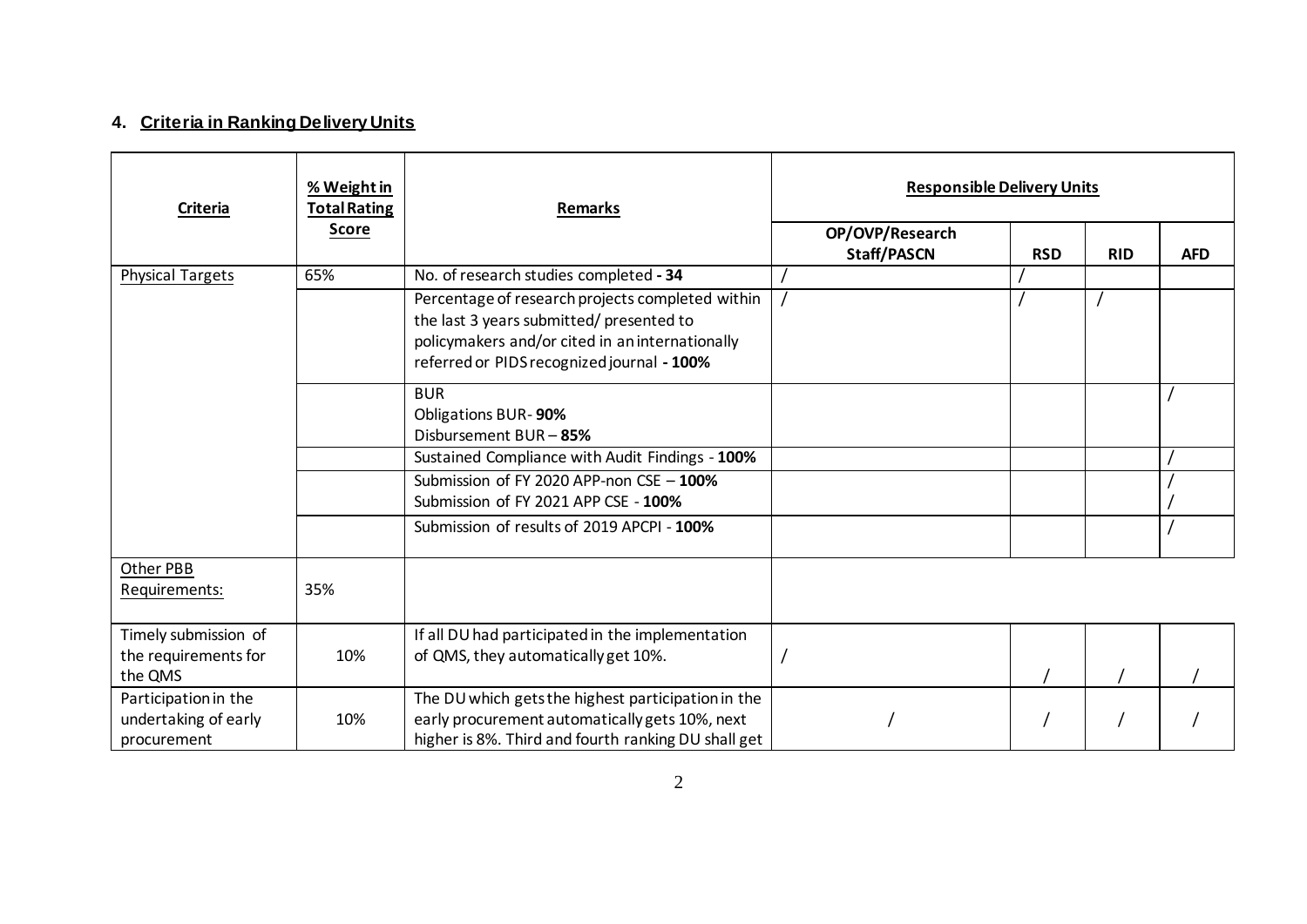# **4. Criteria in Ranking Delivery Units**

| Criteria                                                    | % Weight in<br><b>Total Rating</b> | <b>Remarks</b>                                                                                                                                                                               | <b>Responsible Delivery Units</b>     |            |            |            |
|-------------------------------------------------------------|------------------------------------|----------------------------------------------------------------------------------------------------------------------------------------------------------------------------------------------|---------------------------------------|------------|------------|------------|
|                                                             | <b>Score</b>                       |                                                                                                                                                                                              | OP/OVP/Research<br><b>Staff/PASCN</b> | <b>RSD</b> | <b>RID</b> | <b>AFD</b> |
| <b>Physical Targets</b>                                     | 65%                                | No. of research studies completed - 34                                                                                                                                                       |                                       |            |            |            |
|                                                             |                                    | Percentage of research projects completed within<br>the last 3 years submitted/presented to<br>policymakers and/or cited in an internationally<br>referred or PIDS recognized journal - 100% |                                       |            |            |            |
|                                                             |                                    | <b>BUR</b><br>Obligations BUR-90%<br>Disbursement BUR - 85%                                                                                                                                  |                                       |            |            |            |
|                                                             |                                    | Sustained Compliance with Audit Findings - 100%                                                                                                                                              |                                       |            |            |            |
|                                                             |                                    | Submission of FY 2020 APP-non CSE $-100\%$<br>Submission of FY 2021 APP CSE - 100%                                                                                                           |                                       |            |            |            |
|                                                             |                                    | Submission of results of 2019 APCPI - 100%                                                                                                                                                   |                                       |            |            |            |
| Other PBB<br>Requirements:                                  | 35%                                |                                                                                                                                                                                              |                                       |            |            |            |
| Timely submission of<br>the requirements for<br>the QMS     | 10%                                | If all DU had participated in the implementation<br>of QMS, they automatically get 10%.                                                                                                      |                                       |            |            |            |
| Participation in the<br>undertaking of early<br>procurement | 10%                                | The DU which gets the highest participation in the<br>early procurement automatically gets 10%, next<br>higher is 8%. Third and fourth ranking DU shall get                                  |                                       |            |            |            |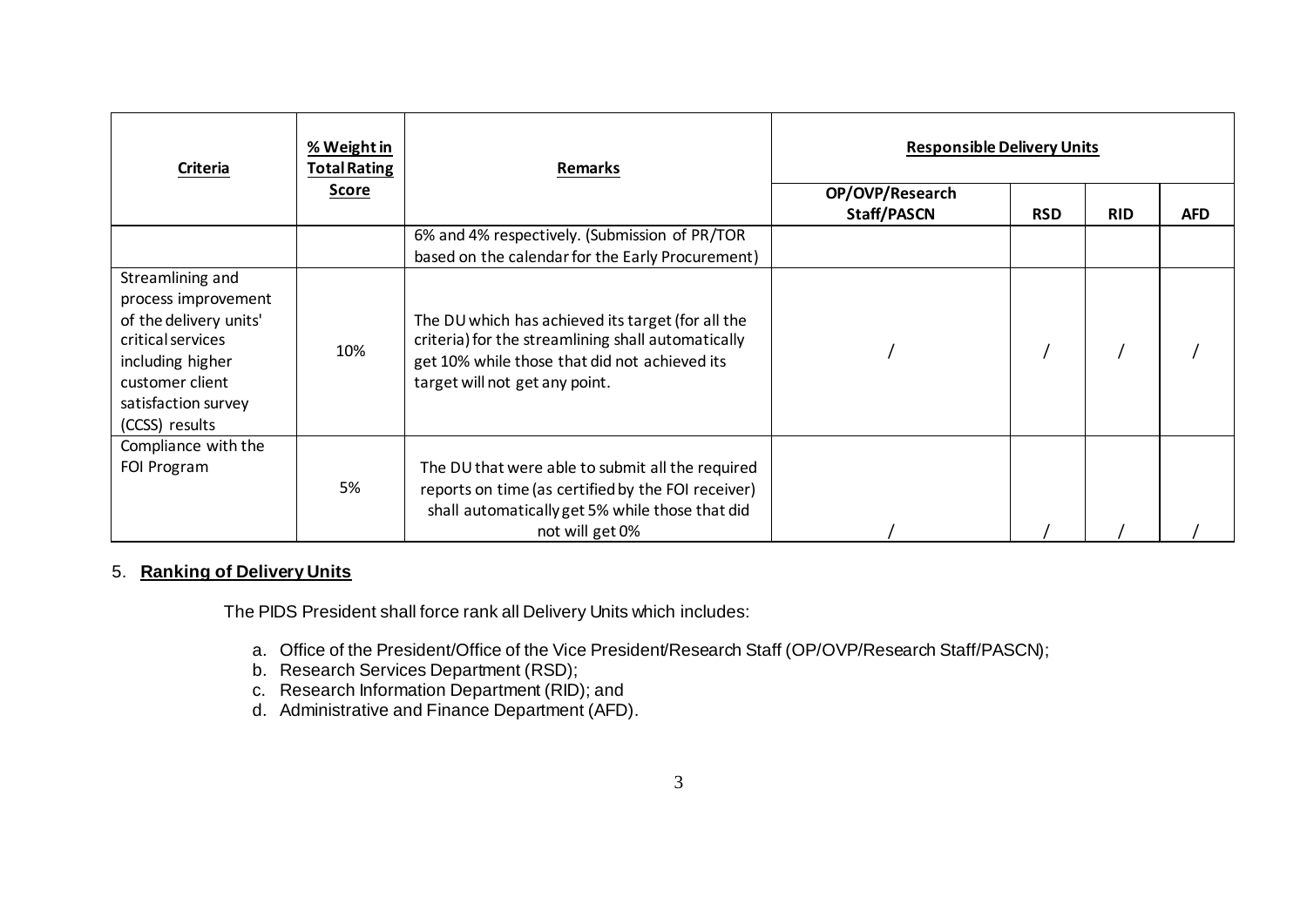| Criteria                                                                                                                                                               | % Weight in<br><b>Total Rating</b> | <b>Remarks</b>                                                                                                                                                                             | <b>Responsible Delivery Units</b> |            |            |            |
|------------------------------------------------------------------------------------------------------------------------------------------------------------------------|------------------------------------|--------------------------------------------------------------------------------------------------------------------------------------------------------------------------------------------|-----------------------------------|------------|------------|------------|
|                                                                                                                                                                        | <b>Score</b>                       |                                                                                                                                                                                            | OP/OVP/Research<br>Staff/PASCN    | <b>RSD</b> | <b>RID</b> | <b>AFD</b> |
|                                                                                                                                                                        |                                    | 6% and 4% respectively. (Submission of PR/TOR<br>based on the calendar for the Early Procurement)                                                                                          |                                   |            |            |            |
| Streamlining and<br>process improvement<br>of the delivery units'<br>critical services<br>including higher<br>customer client<br>satisfaction survey<br>(CCSS) results | 10%                                | The DU which has achieved its target (for all the<br>criteria) for the streamlining shall automatically<br>get 10% while those that did not achieved its<br>target will not get any point. |                                   |            |            |            |
| Compliance with the<br>FOI Program                                                                                                                                     | 5%                                 | The DU that were able to submit all the required<br>reports on time (as certified by the FOI receiver)<br>shall automatically get 5% while those that did<br>not will get 0%               |                                   |            |            |            |

## 5. **Ranking of Delivery Units**

The PIDS President shall force rank all Delivery Units which includes:

- a. Office of the President/Office of the Vice President/Research Staff (OP/OVP/Research Staff/PASCN);
- b. Research Services Department (RSD);
- c. Research Information Department (RID); and
- d. Administrative and Finance Department (AFD).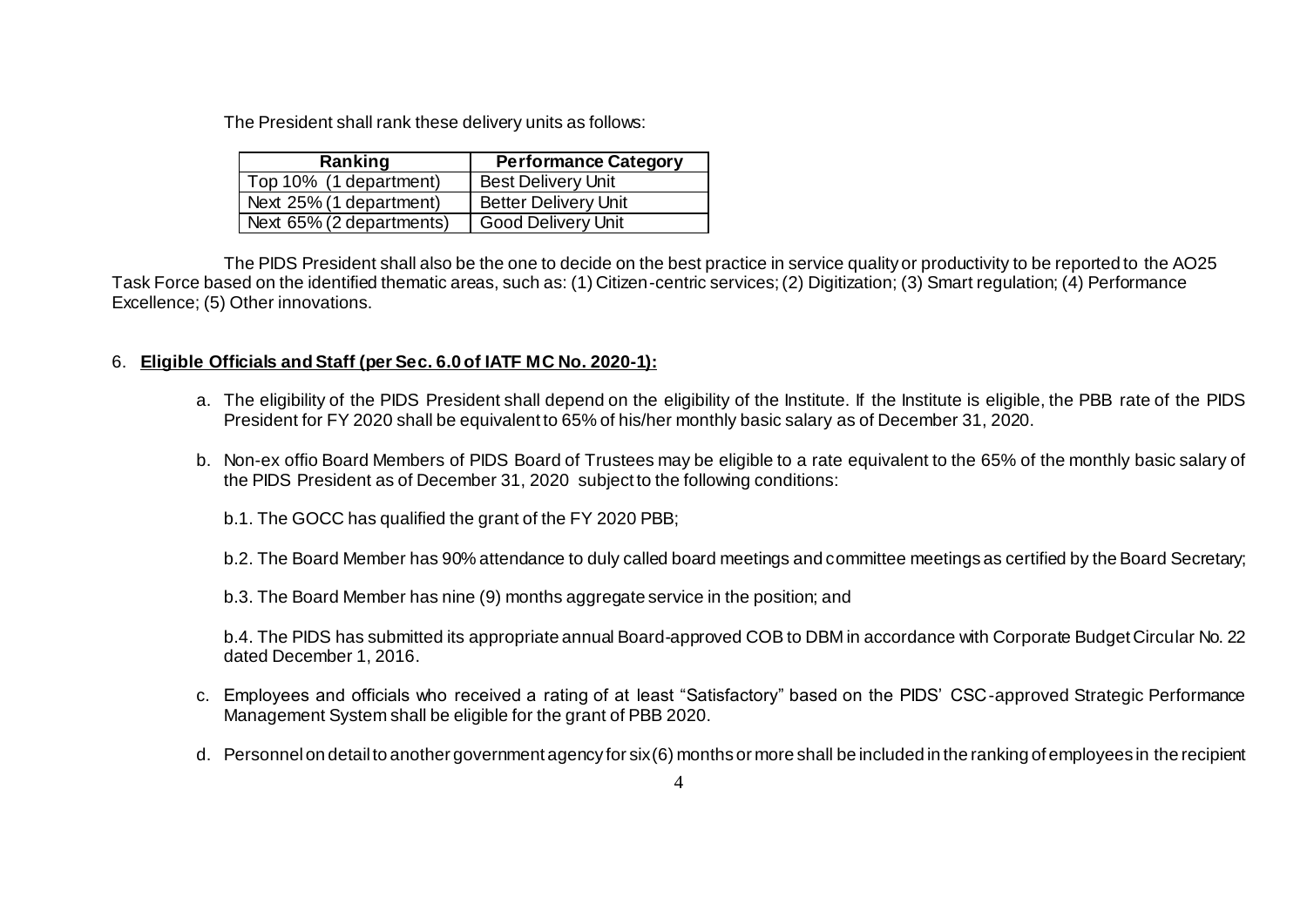The President shall rank these delivery units as follows:

| Ranking                  | <b>Performance Category</b> |
|--------------------------|-----------------------------|
| Top 10% (1 department)   | <b>Best Delivery Unit</b>   |
| Next 25% (1 department)  | <b>Better Delivery Unit</b> |
| Next 65% (2 departments) | Good Delivery Unit          |

The PIDS President shall also be the one to decide on the best practice in service quality or productivity to be reported to the AO25 Task Force based on the identified thematic areas, such as: (1) Citizen-centric services; (2) Digitization; (3) Smart regulation; (4) Performance Excellence; (5) Other innovations.

## 6. **Eligible Officials and Staff (per Sec. 6.0 of IATF MC No. 2020-1):**

- a. The eligibility of the PIDS President shall depend on the eligibility of the Institute. If the Institute is eligible, the PBB rate of the PIDS President for FY 2020 shall be equivalent to 65% of his/her monthly basic salary as of December 31, 2020.
- b. Non-ex offio Board Members of PIDS Board of Trustees may be eligible to a rate equivalent to the 65% of the monthly basic salary of the PIDS President as of December 31, 2020 subject to the following conditions:
	- b.1. The GOCC has qualified the grant of the FY 2020 PBB;

b.2. The Board Member has 90% attendance to duly called board meetings and committee meetings as certified by the Board Secretary;

b.3. The Board Member has nine (9) months aggregate service in the position; and

b.4. The PIDS has submitted its appropriate annual Board-approved COB to DBM in accordance with Corporate Budget Circular No. 22 dated December 1, 2016.

- c. Employees and officials who received a rating of at least "Satisfactory" based on the PIDS' CSC-approved Strategic Performance Management System shall be eligible for the grant of PBB 2020.
- d. Personnel on detail to another government agency for six (6) months or more shall be included in the ranking of employees in the recipient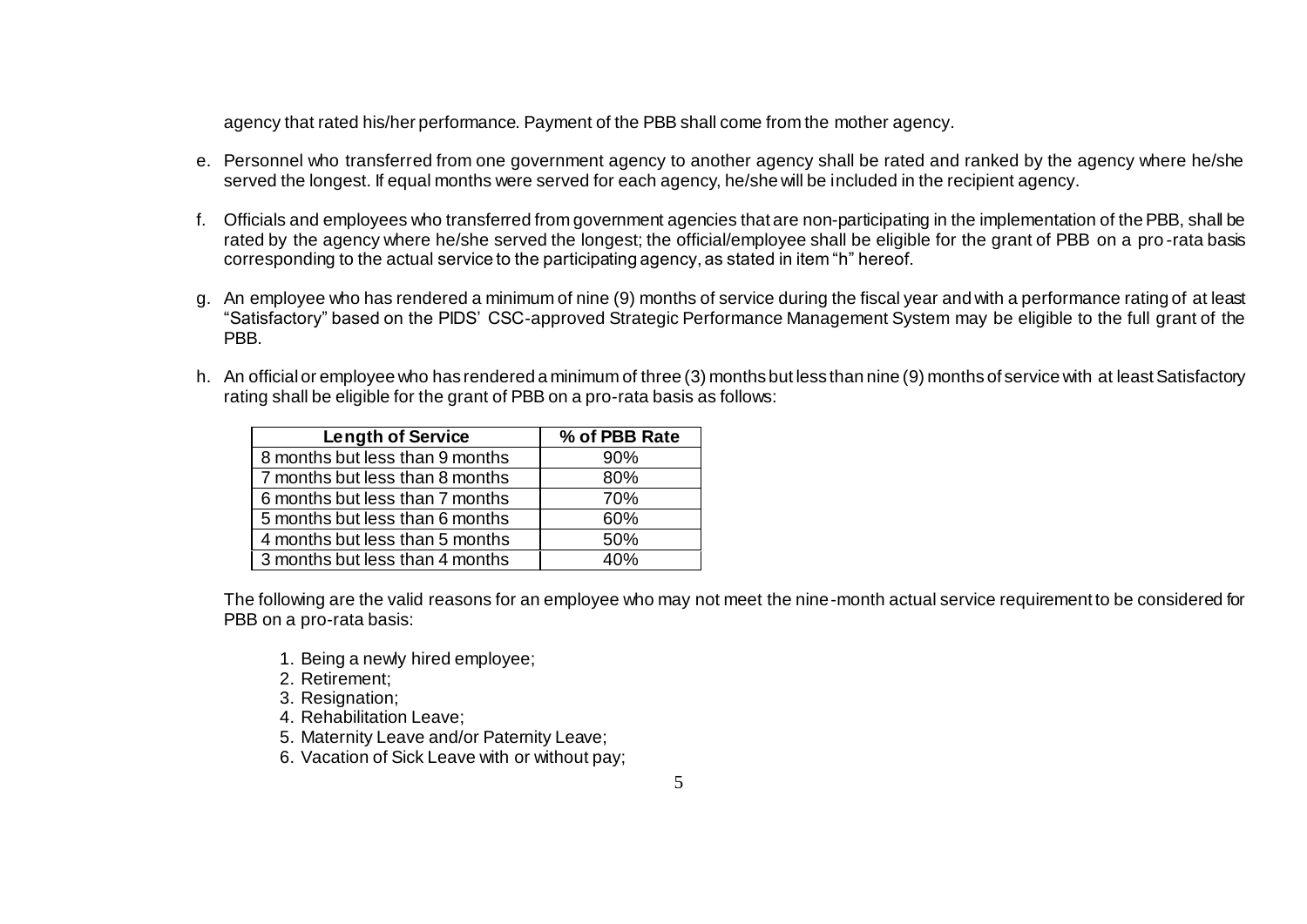agency that rated his/her performance. Payment of the PBB shall come from the mother agency.

- e. Personnel who transferred from one government agency to another agency shall be rated and ranked by the agency where he/she served the longest. If equal months were served for each agency, he/she will be included in the recipient agency.
- f. Officials and employees who transferred from government agencies that are non-participating in the implementation of the PBB, shall be rated by the agency where he/she served the longest; the official/employee shall be eligible for the grant of PBB on a pro -rata basis corresponding to the actual service to the participating agency, as stated in item "h" hereof.
- g. An employee who has rendered a minimum of nine (9) months of service during the fiscal year and with a performance rating of at least "Satisfactory" based on the PIDS' CSC-approved Strategic Performance Management System may be eligible to the full grant of the PBB.
- h. An official or employee who has rendered a minimum of three (3) months but less than nine (9) months of service with at least Satisfactory rating shall be eligible for the grant of PBB on a pro-rata basis as follows:

| <b>Length of Service</b>        | % of PBB Rate |
|---------------------------------|---------------|
| 8 months but less than 9 months | 90%           |
| 7 months but less than 8 months | 80%           |
| 6 months but less than 7 months | 70%           |
| 5 months but less than 6 months | 60%           |
| 4 months but less than 5 months | 50%           |
| 3 months but less than 4 months | 4በ%           |

The following are the valid reasons for an employee who may not meet the nine-month actual service requirement to be considered for PBB on a pro-rata basis:

- 1. Being a newly hired employee;
- 2. Retirement;
- 3. Resignation;
- 4. Rehabilitation Leave;
- 5. Maternity Leave and/or Paternity Leave;
- 6. Vacation of Sick Leave with or without pay;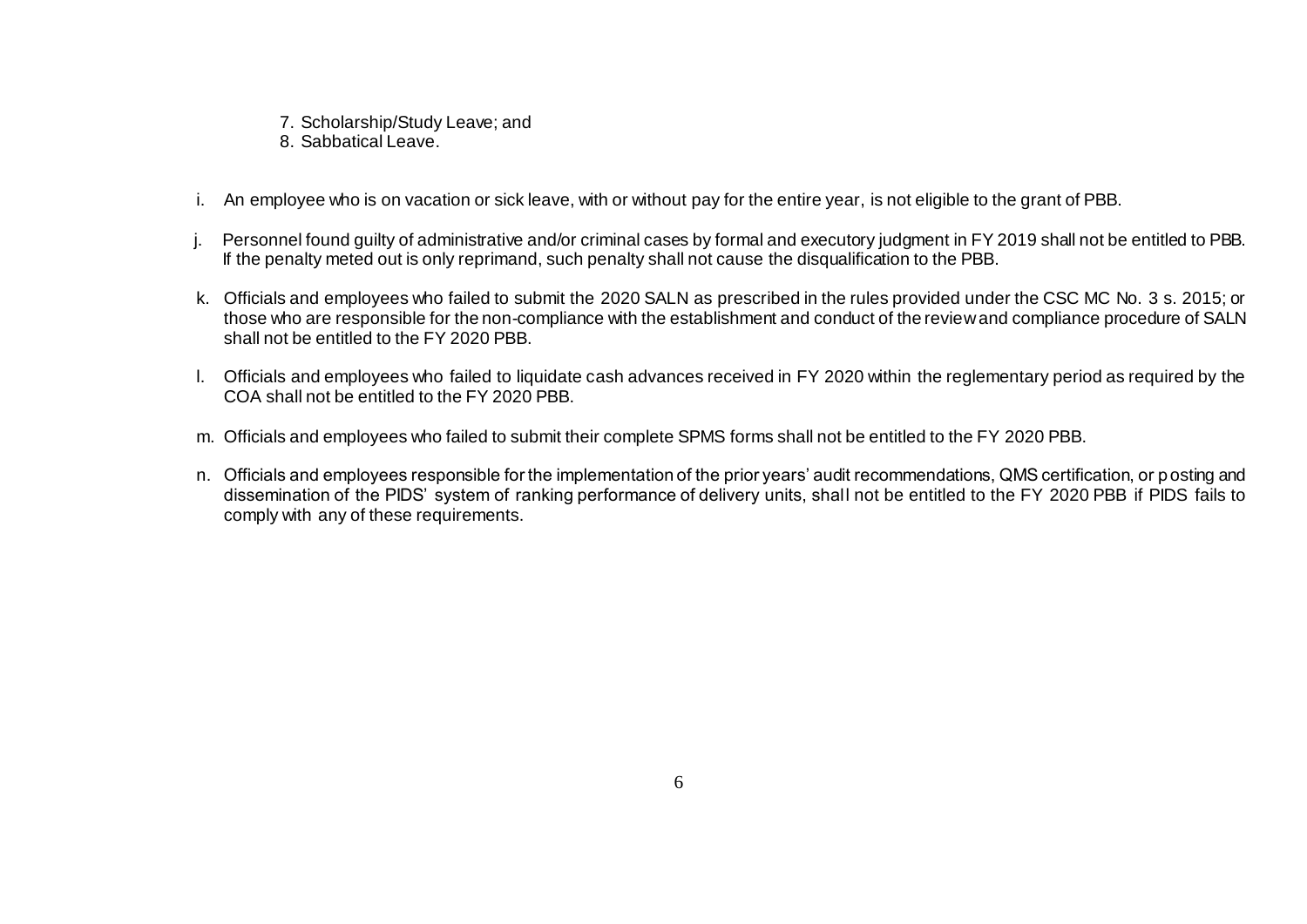- 7. Scholarship/Study Leave; and
- 8. Sabbatical Leave.
- i. An employee who is on vacation or sick leave, with or without pay for the entire year, is not eligible to the grant of PBB.
- j. Personnel found guilty of administrative and/or criminal cases by formal and executory judgment in FY 2019 shall not be entitled to PBB. If the penalty meted out is only reprimand, such penalty shall not cause the disqualification to the PBB.
- k. Officials and employees who failed to submit the 2020 SALN as prescribed in the rules provided under the CSC MC No. 3 s. 2015; or those who are responsible for the non-compliance with the establishment and conduct of the review and compliance procedure of SALN shall not be entitled to the FY 2020 PBB.
- l. Officials and employees who failed to liquidate cash advances received in FY 2020 within the reglementary period as required by the COA shall not be entitled to the FY 2020 PBB.
- m. Officials and employees who failed to submit their complete SPMS forms shall not be entitled to the FY 2020 PBB.
- n. Officials and employees responsible for the implementation of the prior years' audit recommendations, QMS certification, or posting and dissemination of the PIDS' system of ranking performance of delivery units, shall not be entitled to the FY 2020 PBB if PIDS fails to comply with any of these requirements.